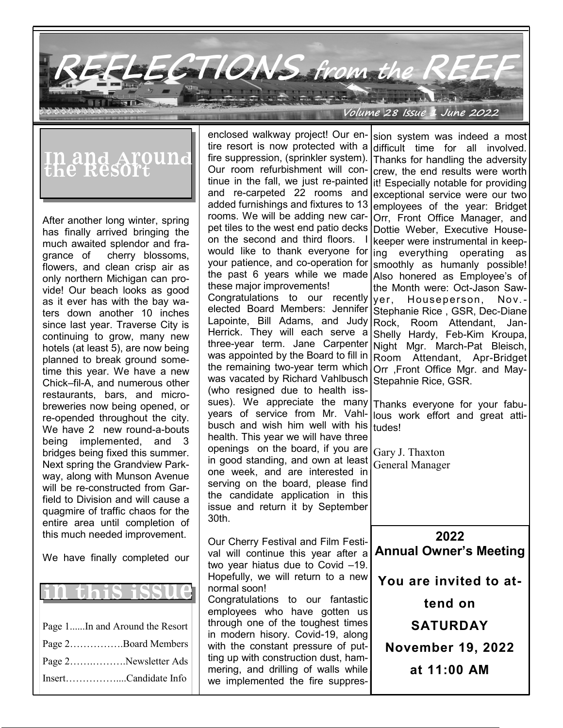**REFLECTIONS from the REEF**

**Volume 28 Issue 1 June 2022**

## In and Around<br>the Resort

After another long winter, spring has finally arrived bringing the much awaited splendor and fragrance of cherry blossoms, flowers, and clean crisp air as only northern Michigan can provide! Our beach looks as good as it ever has with the bay waters down another 10 inches since last year. Traverse City is continuing to grow, many new hotels (at least 5), are now being planned to break ground sometime this year. We have a new Chick–fil-A, and numerous other restaurants, bars, and microbreweries now being opened, or re-opended throughout the city. We have 2 new round-a-bouts being implemented, and 3 bridges being fixed this summer. Next spring the Grandview Parkway, along with Munson Avenue will be re-constructed from Garfield to Division and will cause a quagmire of traffic chaos for the entire area until completion of this much needed improvement.

We have finally completed our



enclosed walkway project! Our entire resort is now protected with a fire suppression, (sprinkler system). Our room refurbishment will continue in the fall, we just re-painted and re-carpeted 22 rooms and added furnishings and fixtures to 13 rooms. We will be adding new carpet tiles to the west end patio decks on the second and third floors. would like to thank everyone for your patience, and co-operation for the past 6 years while we made Also honered as Employee's of these major improvements! Congratulations to our recently  $|_{\text{Ver}}$ elected Board Members: Jennifer Lapointe. Bill Adams, and Judy Herrick. They will each serve a three-year term. Jane Carpenter was appointed by the Board to fill in the remaining two-year term which was vacated by Richard Vahlbusch (who resigned due to health isssues). We appreciate the many years of service from Mr. Vahlbusch and wish him well with his $|$ tudes! health. This year we will have three openings on the board, if you are in good standing, and own at least one week, and are interested in serving on the board, please find the candidate application in this issue and return it by September 30th. Our Cherry Festival and Film Festival will continue this year after a two year hiatus due to Covid –19. Hopefully, we will return to a new normal soon! Congratulations to our fantastic employees who have gotten us through one of the toughest times in modern hisory. Covid-19, along with the constant pressure of putting up with construction dust, hammering, and drilling of walls while we implemented the fire suppres-**2022 Annual Owner's Meeting You are invited to attend on SATURDAY November 19, 2022 at 11:00 AM** sion system was indeed a most difficult time for all involved. Thanks for handling the adversity crew, the end results were worth lit! Especially notable for providing exceptional service were our two employees of the year: Bridget Orr, Front Office Manager, and Dottie Weber, Executive Housekeeper were instrumental in keeping everything operating as smoothly as humanly possible! the Month were: Oct-Jason Saw-Houseperson, Nov.-Stephanie Rice , GSR, Dec-Diane Rock, Room Attendant, Jan-Shelly Hardy, Feb-Kim Kroupa, Night Mgr. March-Pat Bleisch, Room Attendant, Apr-Bridget Orr ,Front Office Mgr. and May-Stepahnie Rice, GSR. Thanks everyone for your fabulous work effort and great atti-Gary J. Thaxton General Manager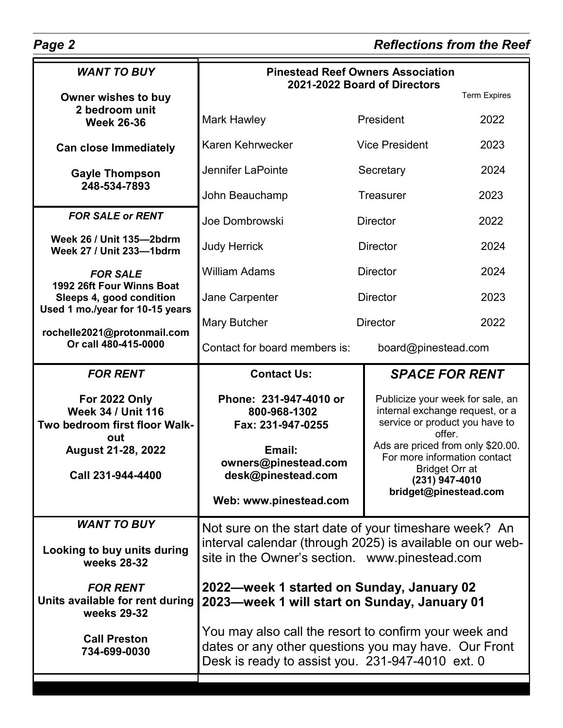| <b>WANT TO BUY</b>                                                                                          | <b>Pinestead Reef Owners Association</b><br>2021-2022 Board of Directors                                                                                          |                                                                                                                 |                                                                                                                                |  |
|-------------------------------------------------------------------------------------------------------------|-------------------------------------------------------------------------------------------------------------------------------------------------------------------|-----------------------------------------------------------------------------------------------------------------|--------------------------------------------------------------------------------------------------------------------------------|--|
| Owner wishes to buy<br>2 bedroom unit                                                                       |                                                                                                                                                                   |                                                                                                                 | <b>Term Expires</b>                                                                                                            |  |
| <b>Week 26-36</b>                                                                                           | <b>Mark Hawley</b>                                                                                                                                                | President                                                                                                       | 2022                                                                                                                           |  |
| <b>Can close Immediately</b>                                                                                | Karen Kehrwecker                                                                                                                                                  | <b>Vice President</b>                                                                                           | 2023                                                                                                                           |  |
| <b>Gayle Thompson</b><br>248-534-7893                                                                       | <b>Jennifer LaPointe</b>                                                                                                                                          | Secretary                                                                                                       | 2024                                                                                                                           |  |
|                                                                                                             | John Beauchamp                                                                                                                                                    | <b>Treasurer</b>                                                                                                | 2023                                                                                                                           |  |
| <b>FOR SALE or RENT</b>                                                                                     | Joe Dombrowski                                                                                                                                                    | <b>Director</b>                                                                                                 | 2022                                                                                                                           |  |
| Week 26 / Unit 135-2bdrm<br>Week 27 / Unit 233-1bdrm                                                        | <b>Judy Herrick</b>                                                                                                                                               | <b>Director</b>                                                                                                 | 2024                                                                                                                           |  |
| <b>FOR SALE</b><br>1992 26ft Four Winns Boat<br>Sleeps 4, good condition<br>Used 1 mo./year for 10-15 years | <b>William Adams</b>                                                                                                                                              | <b>Director</b>                                                                                                 | 2024                                                                                                                           |  |
|                                                                                                             | Jane Carpenter                                                                                                                                                    | <b>Director</b>                                                                                                 | 2023                                                                                                                           |  |
| rochelle2021@protonmail.com<br>Or call 480-415-0000                                                         | <b>Mary Butcher</b>                                                                                                                                               | <b>Director</b>                                                                                                 | 2022                                                                                                                           |  |
|                                                                                                             | Contact for board members is:                                                                                                                                     | board@pinestead.com                                                                                             |                                                                                                                                |  |
| <b>FOR RENT</b>                                                                                             | <b>Contact Us:</b>                                                                                                                                                | <b>SPACE FOR RENT</b>                                                                                           |                                                                                                                                |  |
| For 2022 Only<br><b>Week 34 / Unit 116</b><br>Two bedroom first floor Walk-<br>out                          | Phone: 231-947-4010 or<br>800-968-1302<br>Fax: 231-947-0255                                                                                                       | Publicize your week for sale, an<br>internal exchange request, or a<br>service or product you have to<br>offer. |                                                                                                                                |  |
| <b>August 21-28, 2022</b><br>Call 231-944-4400                                                              | Email:<br>owners@pinestead.com<br>desk@pinestead.com                                                                                                              |                                                                                                                 | Ads are priced from only \$20.00.<br>For more information contact<br>Bridget Orr at<br>(231) 947-4010<br>bridget@pinestead.com |  |
|                                                                                                             | Web: www.pinestead.com                                                                                                                                            |                                                                                                                 |                                                                                                                                |  |
| <b>WANT TO BUY</b>                                                                                          | Not sure on the start date of your timeshare week? An                                                                                                             |                                                                                                                 |                                                                                                                                |  |
| Looking to buy units during<br>weeks 28-32                                                                  | interval calendar (through 2025) is available on our web-<br>site in the Owner's section. www.pinestead.com                                                       |                                                                                                                 |                                                                                                                                |  |
| <b>FOR RENT</b><br>Units available for rent during<br>weeks 29-32                                           | 2022—week 1 started on Sunday, January 02<br>2023-week 1 will start on Sunday, January 01                                                                         |                                                                                                                 |                                                                                                                                |  |
| <b>Call Preston</b><br>734-699-0030                                                                         | You may also call the resort to confirm your week and<br>dates or any other questions you may have. Our Front<br>Desk is ready to assist you. 231-947-4010 ext. 0 |                                                                                                                 |                                                                                                                                |  |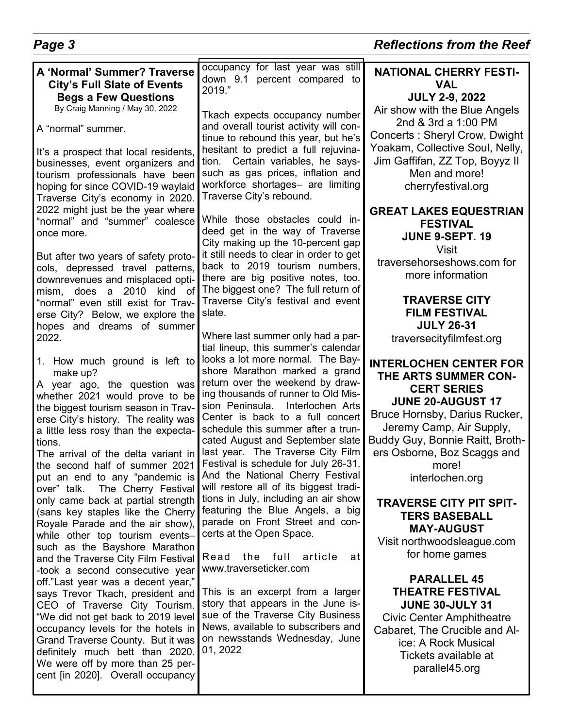| Page 3                                                                                                                                                                                                                                                                                                                                                                                                                                                                                                                                                                                                                                                                                                                                                                                                                                                                                                                                                                                                                                                                                                                                                                                                                                                                                                                                                                                                                                                                                                                                                                                                                                                                                                                | <b>Reflections from the Reef</b>                                                                                                                                                                                                                                                                                                                                                                                                                                                                                                                                                                                                                                                                                                                                                                                                                                                                                                                                                                                                                                                                                                                                                                                                                                                                                                                                                                                                                                                                                                                                                                                                                                |                                                                                                                                                                                                                                                                                                                                                                                                                                                                                                                                                                                                                                                                                                                                                                                                                                                                                                                                                                                                                                                                                                                                                  |  |
|-----------------------------------------------------------------------------------------------------------------------------------------------------------------------------------------------------------------------------------------------------------------------------------------------------------------------------------------------------------------------------------------------------------------------------------------------------------------------------------------------------------------------------------------------------------------------------------------------------------------------------------------------------------------------------------------------------------------------------------------------------------------------------------------------------------------------------------------------------------------------------------------------------------------------------------------------------------------------------------------------------------------------------------------------------------------------------------------------------------------------------------------------------------------------------------------------------------------------------------------------------------------------------------------------------------------------------------------------------------------------------------------------------------------------------------------------------------------------------------------------------------------------------------------------------------------------------------------------------------------------------------------------------------------------------------------------------------------------|-----------------------------------------------------------------------------------------------------------------------------------------------------------------------------------------------------------------------------------------------------------------------------------------------------------------------------------------------------------------------------------------------------------------------------------------------------------------------------------------------------------------------------------------------------------------------------------------------------------------------------------------------------------------------------------------------------------------------------------------------------------------------------------------------------------------------------------------------------------------------------------------------------------------------------------------------------------------------------------------------------------------------------------------------------------------------------------------------------------------------------------------------------------------------------------------------------------------------------------------------------------------------------------------------------------------------------------------------------------------------------------------------------------------------------------------------------------------------------------------------------------------------------------------------------------------------------------------------------------------------------------------------------------------|--------------------------------------------------------------------------------------------------------------------------------------------------------------------------------------------------------------------------------------------------------------------------------------------------------------------------------------------------------------------------------------------------------------------------------------------------------------------------------------------------------------------------------------------------------------------------------------------------------------------------------------------------------------------------------------------------------------------------------------------------------------------------------------------------------------------------------------------------------------------------------------------------------------------------------------------------------------------------------------------------------------------------------------------------------------------------------------------------------------------------------------------------|--|
| A 'Normal' Summer? Traverse<br><b>City's Full Slate of Events</b><br><b>Begs a Few Questions</b><br>By Craig Manning / May 30, 2022<br>A "normal" summer.<br>It's a prospect that local residents,<br>businesses, event organizers and<br>tourism professionals have been<br>hoping for since COVID-19 waylaid<br>Traverse City's economy in 2020.<br>2022 might just be the year where<br>"normal" and "summer" coalesce<br>once more.<br>But after two years of safety proto-<br>cols, depressed travel patterns,<br>downrevenues and misplaced opti-<br>mism, does<br>2010<br>a<br>kind of<br>"normal" even still exist for Trav-<br>erse City? Below, we explore the<br>hopes and dreams of summer<br>2022.<br>1. How much ground is left to<br>make up?<br>A year ago, the question was<br>whether 2021 would prove to be<br>the biggest tourism season in Trav-<br>erse City's history. The reality was<br>a little less rosy than the expecta-<br>tions.<br>The arrival of the delta variant in<br>the second half of summer 2021<br>put an end to any "pandemic is<br>The Cherry Festival<br>over" talk.<br>only came back at partial strength<br>(sans key staples like the Cherry<br>Royale Parade and the air show),<br>while other top tourism events-<br>such as the Bayshore Marathon<br>and the Traverse City Film Festival<br>-took a second consecutive year<br>off."Last year was a decent year,"<br>says Trevor Tkach, president and<br>CEO of Traverse City Tourism.<br>"We did not get back to 2019 level<br>occupancy levels for the hotels in<br>Grand Traverse County. But it was<br>definitely much bett than 2020.<br>We were off by more than 25 per-<br>cent [in 2020]. Overall occupancy | occupancy for last year was still<br>down 9.1 percent compared to<br>2019."<br>Tkach expects occupancy number<br>and overall tourist activity will con-<br>tinue to rebound this year, but he's<br>hesitant to predict a full rejuvina-<br>tion. Certain variables, he says-<br>such as gas prices, inflation and<br>workforce shortages- are limiting<br>Traverse City's rebound.<br>While those obstacles could in-<br>deed get in the way of Traverse<br>City making up the 10-percent gap<br>it still needs to clear in order to get<br>back to 2019 tourism numbers,<br>there are big positive notes, too.<br>The biggest one? The full return of<br>Traverse City's festival and event<br>slate.<br>Where last summer only had a par-<br>tial lineup, this summer's calendar<br>looks a lot more normal. The Bay-<br>shore Marathon marked a grand<br>return over the weekend by draw-<br>ing thousands of runner to Old Mis-<br>sion Peninsula.<br>Interlochen Arts<br>Center is back to a full concert<br>schedule this summer after a trun-<br>cated August and September slate<br>last year. The Traverse City Film<br>Festival is schedule for July 26-31.<br>And the National Cherry Festival<br>will restore all of its biggest tradi-<br>tions in July, including an air show<br>featuring the Blue Angels, a big<br>parade on Front Street and con-<br>certs at the Open Space.<br>the full<br>article<br>Read<br>at<br>www.traverseticker.com<br>This is an excerpt from a larger<br>story that appears in the June is-<br>sue of the Traverse City Business<br>News, available to subscribers and<br>on newsstands Wednesday, June<br>01, 2022 | <b>NATIONAL CHERRY FESTI-</b><br><b>VAL</b><br><b>JULY 2-9, 2022</b><br>Air show with the Blue Angels<br>2nd & 3rd a 1:00 PM<br>Concerts: Sheryl Crow, Dwight<br>Yoakam, Collective Soul, Nelly,<br>Jim Gaffifan, ZZ Top, Boyyz II<br>Men and more!<br>cherryfestival.org<br><b>GREAT LAKES EQUESTRIAN</b><br><b>FESTIVAL</b><br><b>JUNE 9-SEPT. 19</b><br><b>Visit</b><br>traversehorseshows.com for<br>more information<br><b>TRAVERSE CITY</b><br><b>FILM FESTIVAL</b><br><b>JULY 26-31</b><br>traversecityfilmfest.org<br><b>INTERLOCHEN CENTER FOR</b><br>THE ARTS SUMMER CON-<br><b>CERT SERIES</b><br><b>JUNE 20-AUGUST 17</b><br>Bruce Hornsby, Darius Rucker,<br>Jeremy Camp, Air Supply,<br>Buddy Guy, Bonnie Raitt, Broth-<br>ers Osborne, Boz Scaggs and<br>more!<br>interlochen.org<br><b>TRAVERSE CITY PIT SPIT-</b><br><b>TERS BASEBALL</b><br><b>MAY-AUGUST</b><br>Visit northwoodsleague.com<br>for home games<br><b>PARALLEL 45</b><br><b>THEATRE FESTIVAL</b><br><b>JUNE 30-JULY 31</b><br><b>Civic Center Amphitheatre</b><br>Cabaret, The Crucible and Al-<br>ice: A Rock Musical<br>Tickets available at<br>parallel45.org |  |
|                                                                                                                                                                                                                                                                                                                                                                                                                                                                                                                                                                                                                                                                                                                                                                                                                                                                                                                                                                                                                                                                                                                                                                                                                                                                                                                                                                                                                                                                                                                                                                                                                                                                                                                       |                                                                                                                                                                                                                                                                                                                                                                                                                                                                                                                                                                                                                                                                                                                                                                                                                                                                                                                                                                                                                                                                                                                                                                                                                                                                                                                                                                                                                                                                                                                                                                                                                                                                 |                                                                                                                                                                                                                                                                                                                                                                                                                                                                                                                                                                                                                                                                                                                                                                                                                                                                                                                                                                                                                                                                                                                                                  |  |